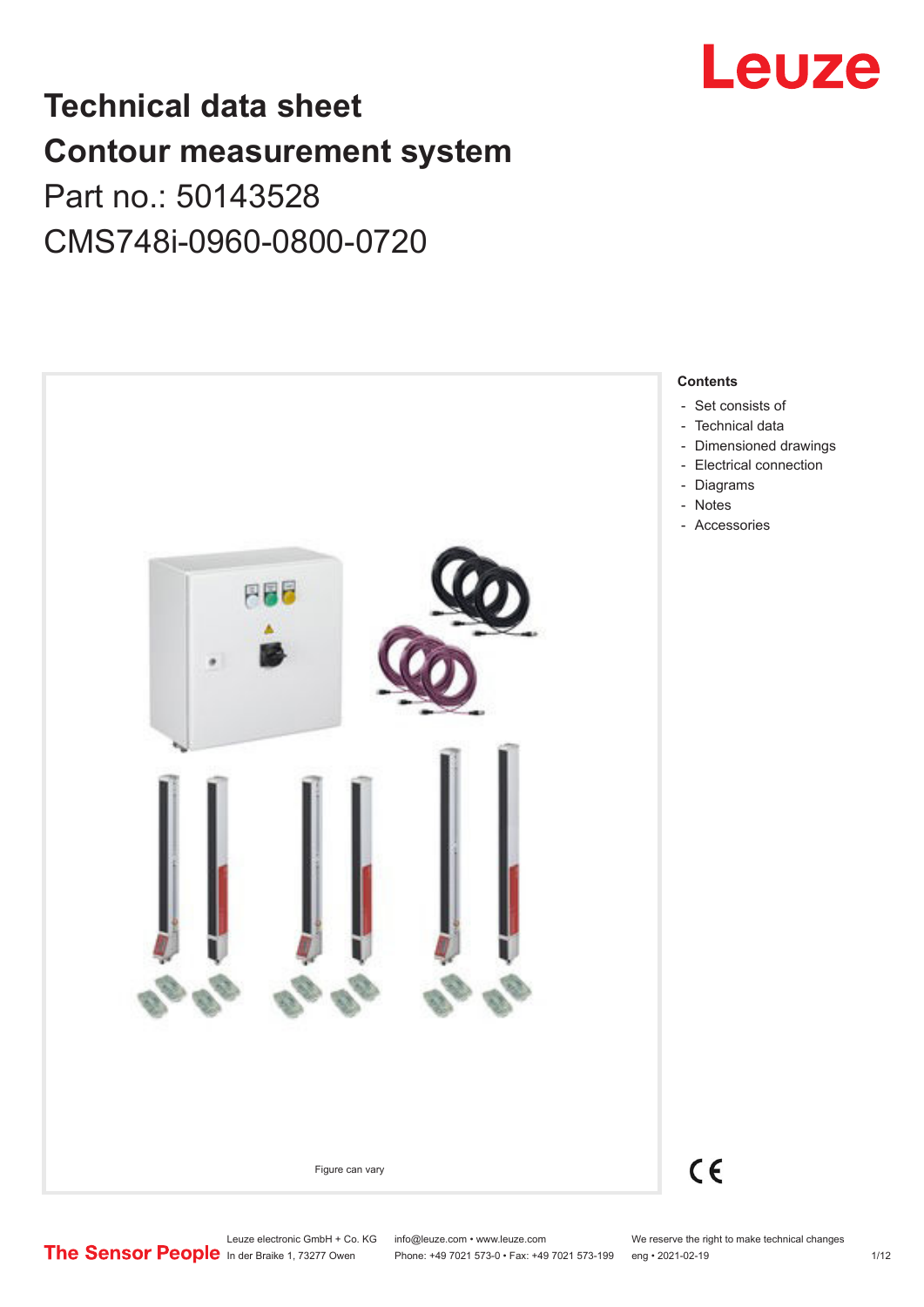

# **Technical data sheet Contour measurement system** Part no.: 50143528 CMS748i-0960-0800-0720



Leuze electronic GmbH + Co. KG info@leuze.com • www.leuze.com We reserve the right to make technical changes<br> **The Sensor People** in der Braike 1, 73277 Owen Phone: +49 7021 573-0 • Fax: +49 7021 573-199 eng • 2021-02-19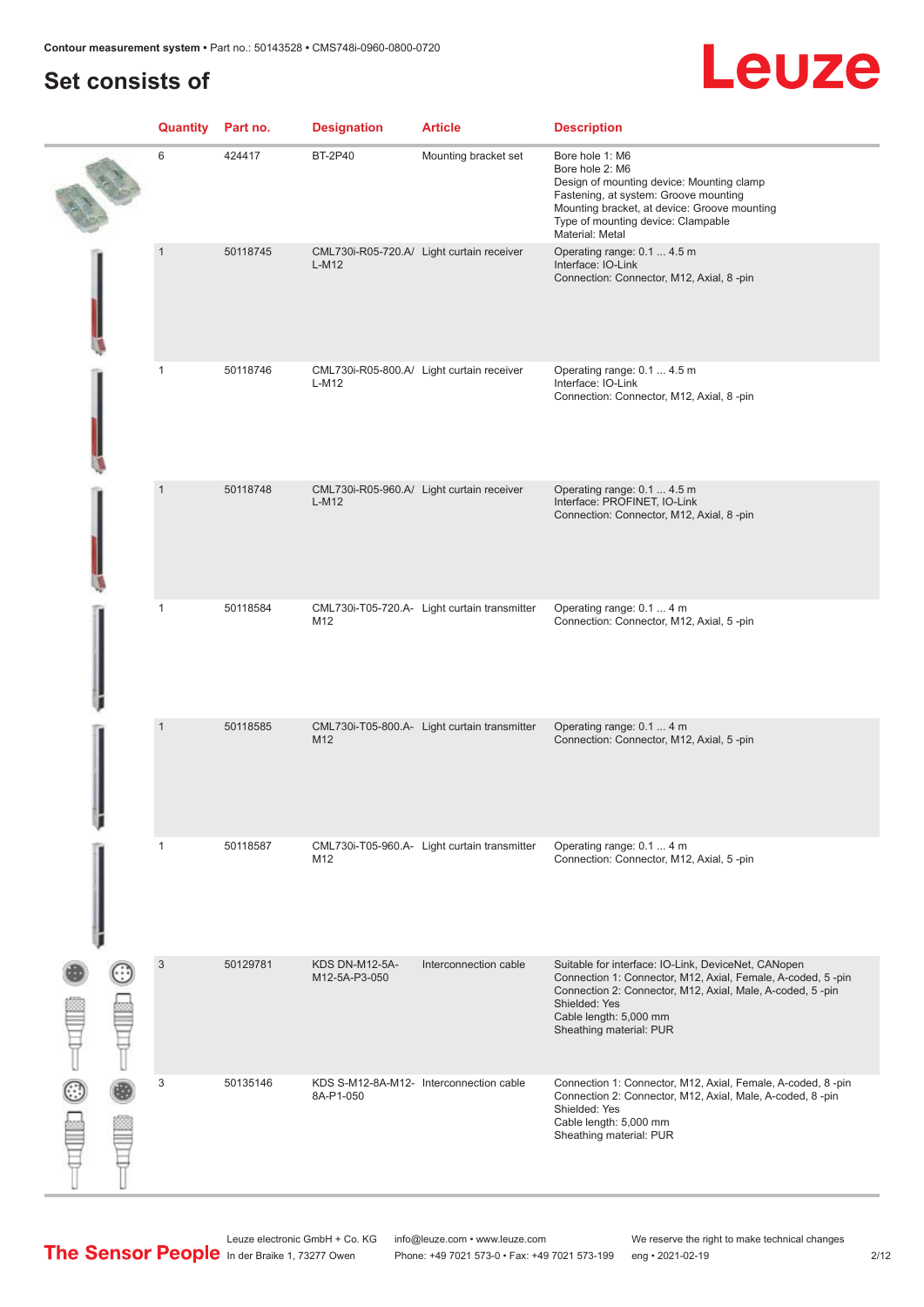# **Set consists of**

|        | <b>Quantity</b> Part no. |          | <b>Designation</b>              | <b>Article</b>                               | <b>Description</b>                                                                                                                                                                                                                                    |
|--------|--------------------------|----------|---------------------------------|----------------------------------------------|-------------------------------------------------------------------------------------------------------------------------------------------------------------------------------------------------------------------------------------------------------|
|        | 6                        | 424417   | <b>BT-2P40</b>                  | Mounting bracket set                         | Bore hole 1: M6<br>Bore hole 2: M6<br>Design of mounting device: Mounting clamp<br>Fastening, at system: Groove mounting<br>Mounting bracket, at device: Groove mounting<br>Type of mounting device: Clampable<br>Material: Metal                     |
|        | $\mathbf{1}$             | 50118745 | $L-M12$                         | CML730i-R05-720.A/ Light curtain receiver    | Operating range: 0.1  4.5 m<br>Interface: IO-Link<br>Connection: Connector, M12, Axial, 8-pin                                                                                                                                                         |
|        | 1                        | 50118746 | L-M12                           | CML730i-R05-800.A/ Light curtain receiver    | Operating range: 0.1  4.5 m<br>Interface: IO-Link<br>Connection: Connector, M12, Axial, 8-pin                                                                                                                                                         |
|        | $\mathbf{1}$             | 50118748 | $L-M12$                         | CML730i-R05-960.A/ Light curtain receiver    | Operating range: 0.1  4.5 m<br>Interface: PROFINET, IO-Link<br>Connection: Connector, M12, Axial, 8-pin                                                                                                                                               |
|        | $\mathbf{1}$             | 50118584 | M12                             | CML730i-T05-720.A- Light curtain transmitter | Operating range: 0.1  4 m<br>Connection: Connector, M12, Axial, 5-pin                                                                                                                                                                                 |
|        | $\mathbf{1}$             | 50118585 | M12                             | CML730i-T05-800.A- Light curtain transmitter | Operating range: 0.1  4 m<br>Connection: Connector, M12, Axial, 5-pin                                                                                                                                                                                 |
|        | $\mathbf{1}$             | 50118587 | M12                             | CML730i-T05-960.A- Light curtain transmitter | Operating range: 0.1  4 m<br>Connection: Connector, M12, Axial, 5-pin                                                                                                                                                                                 |
| a<br>a | $\sqrt{3}$               | 50129781 | KDS DN-M12-5A-<br>M12-5A-P3-050 | Interconnection cable                        | Suitable for interface: IO-Link, DeviceNet, CANopen<br>Connection 1: Connector, M12, Axial, Female, A-coded, 5-pin<br>Connection 2: Connector, M12, Axial, Male, A-coded, 5-pin<br>Shielded: Yes<br>Cable length: 5,000 mm<br>Sheathing material: PUR |
|        | 3                        | 50135146 | 8A-P1-050                       | KDS S-M12-8A-M12- Interconnection cable      | Connection 1: Connector, M12, Axial, Female, A-coded, 8-pin<br>Connection 2: Connector, M12, Axial, Male, A-coded, 8-pin<br>Shielded: Yes<br>Cable length: 5,000 mm<br>Sheathing material: PUR                                                        |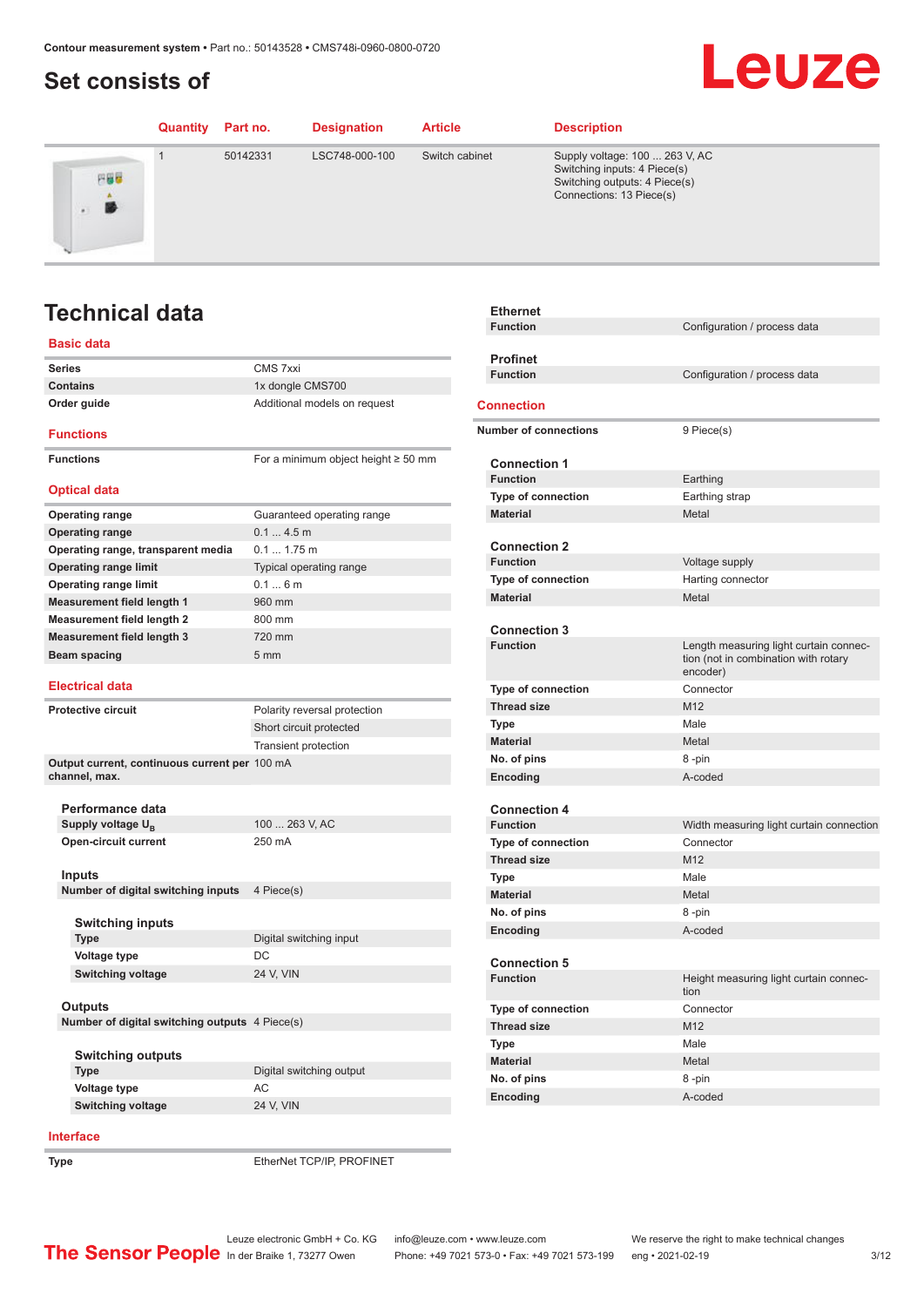# <span id="page-2-0"></span>**Set consists of**

### **Quantity Part no. Designation Article Description** 1 50142331 LSC748-000-100 Switch cabinet Supply voltage: 100 ... 263 V, AC Switching inputs: 4 Piece(s) 円器器 Switching outputs: 4 Piece(s) Connections: 13 Piece(s) 勝

# **Technical data**

### **Basic data**

| <b>Series</b>                                             | CMS 7xxi                                 |
|-----------------------------------------------------------|------------------------------------------|
| <b>Contains</b>                                           | 1x dongle CMS700                         |
| Order guide                                               | Additional models on request             |
| <b>Functions</b>                                          |                                          |
| <b>Functions</b>                                          | For a minimum object height $\geq$ 50 mm |
| <b>Optical data</b>                                       |                                          |
| <b>Operating range</b>                                    | Guaranteed operating range               |
| <b>Operating range</b>                                    | 0.14.5m                                  |
| Operating range, transparent media                        | $0.1 1.75$ m                             |
| <b>Operating range limit</b>                              | Typical operating range                  |
| <b>Operating range limit</b>                              | 0.16m                                    |
| <b>Measurement field length 1</b>                         | 960 mm                                   |
| <b>Measurement field length 2</b>                         | 800 mm                                   |
| <b>Measurement field length 3</b>                         | 720 mm                                   |
| Beam spacing                                              | 5 <sub>mm</sub>                          |
|                                                           |                                          |
| <b>Electrical data</b>                                    |                                          |
| <b>Protective circuit</b>                                 | Polarity reversal protection             |
|                                                           | Short circuit protected                  |
|                                                           | <b>Transient protection</b>              |
| Output current, continuous current per 100 mA             |                                          |
| channel, max.                                             |                                          |
|                                                           |                                          |
| Performance data                                          |                                          |
| Supply voltage U <sub>n</sub>                             | 100  263 V, AC                           |
| <b>Open-circuit current</b>                               | 250 mA                                   |
| Inputs                                                    |                                          |
| Number of digital switching inputs                        | 4 Piece(s)                               |
|                                                           |                                          |
| <b>Switching inputs</b>                                   |                                          |
| <b>Type</b>                                               | Digital switching input                  |
| Voltage type                                              | DC                                       |
| <b>Switching voltage</b>                                  | 24 V, VIN                                |
|                                                           |                                          |
| Outputs<br>Number of digital switching outputs 4 Piece(s) |                                          |
|                                                           |                                          |
| <b>Switching outputs</b>                                  |                                          |
| <b>Type</b>                                               | Digital switching output                 |
| <b>Voltage type</b>                                       | AC                                       |
| <b>Switching voltage</b>                                  | 24 V, VIN                                |
|                                                           |                                          |

### **Ethernet Function** Configuration / process data **pfinet**<br>nction **Function** Configuration / process data **<u>Nection</u> Number of connections** 9 Piece(s) **Connection 1 Function** Earthing **The of connection** Earthing strap **Material** Metal Metal **nnection 2**<br>nction **Voltage supply Type of connection** Harting connector **Material** Metal Metal Metal **Connection 3** Length measuring light curtain connection (not in combination with rotary encoder) **Type of connection** Connector **The Second Size** M12 **Type** Male **Material** Metal **no. of pins** 8 -pin **Example 20 A-coded nnection 4**<br>nction Width measuring light curtain connection **Type of connection The Second Size** Manual Manual Manual Manual Manual Manual Manual Manual Manual Manual Manual Manual Manual Manual Manual Manual Manual Manual Manual Manual Manual Manual Manual Manual Manual Manual Manual Manual Manual M **Type Male Material** Metal **no. of pins** 8 -pin

Leuze

| . <u>.</u>                | - P                                            |
|---------------------------|------------------------------------------------|
| Encoding                  | A-coded                                        |
|                           |                                                |
| <b>Connection 5</b>       |                                                |
| <b>Function</b>           | Height measuring light curtain connec-<br>tion |
| <b>Type of connection</b> | Connector                                      |
| <b>Thread size</b>        | M <sub>12</sub>                                |
| <b>Type</b>               | Male                                           |
| <b>Material</b>           | Metal                                          |
| No. of pins               | 8-pin                                          |
| Encoding                  | A-coded                                        |

### **Interface**

**Type** EtherNet TCP/IP, PROFINET

Leuze electronic GmbH + Co. KG info@leuze.com • www.leuze.com We reserve the right to make technical changes<br>
The Sensor People in der Braike 1, 73277 Owen Phone: +49 7021 573-0 • Fax: +49 7021 573-199 eng • 2021-02-19

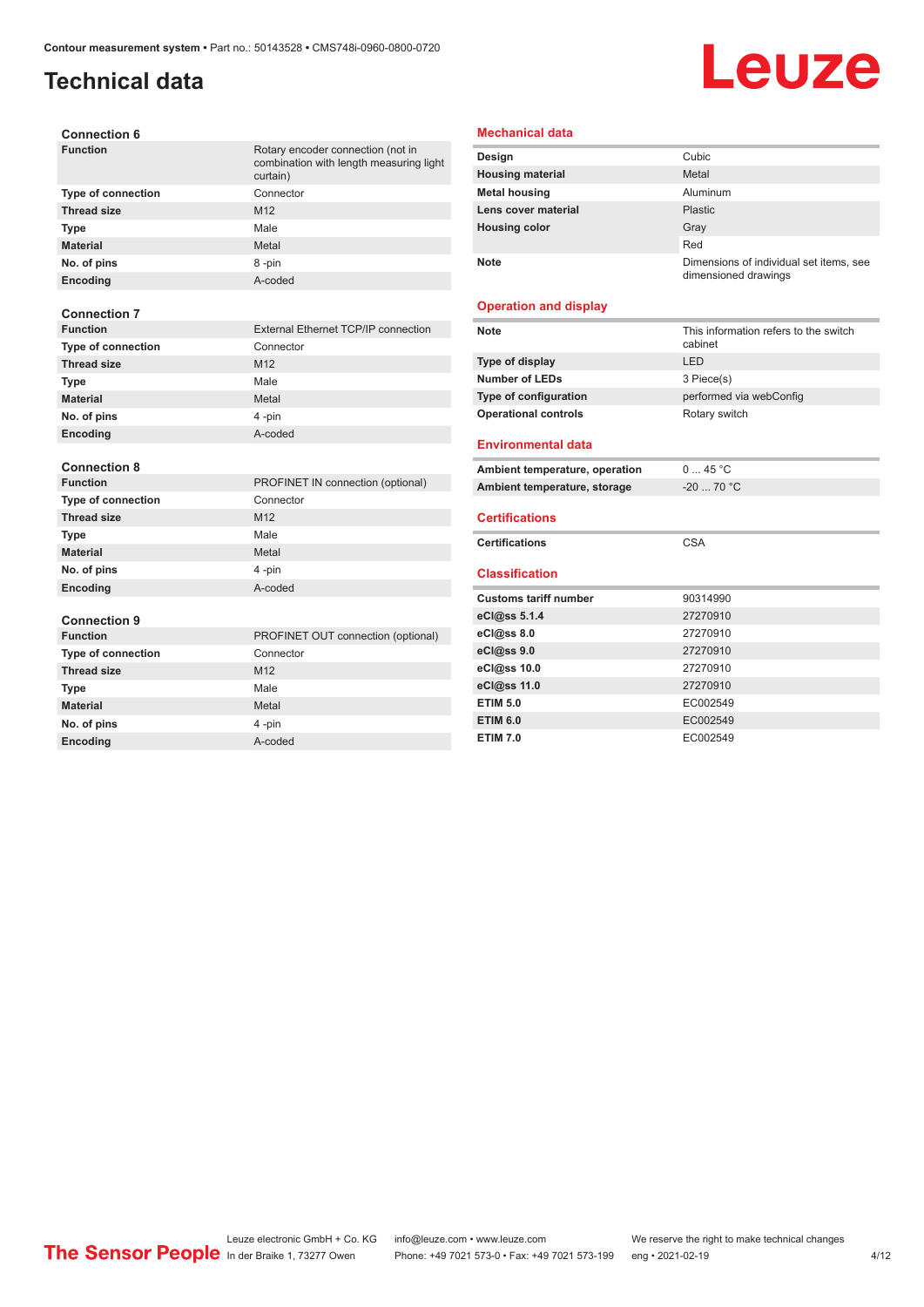# **Technical data**

# Leuze

| <b>Connection 6</b> |  |
|---------------------|--|
|---------------------|--|

| <b>Function</b>           | Rotary encoder connection (not in<br>combination with length measuring light<br>curtain) |
|---------------------------|------------------------------------------------------------------------------------------|
| <b>Type of connection</b> | Connector                                                                                |
| <b>Thread size</b>        | M <sub>12</sub>                                                                          |
| Type                      | Male                                                                                     |
| <b>Material</b>           | Metal                                                                                    |
| No. of pins               | 8-pin                                                                                    |
| Encoding                  | A-coded                                                                                  |
| <b>Connection 7</b>       |                                                                                          |
| <b>Function</b>           | <b>External Ethernet TCP/IP connection</b>                                               |
| Type of connection        | Connector                                                                                |
| <b>Thread size</b>        | M <sub>12</sub>                                                                          |
| Type                      | Male                                                                                     |
| <b>Material</b>           | Metal                                                                                    |
| No. of pins               | 4-pin                                                                                    |
| Encoding                  | A-coded                                                                                  |
|                           |                                                                                          |
| <b>Connection 8</b>       |                                                                                          |
| <b>Function</b>           | PROFINET IN connection (optional)                                                        |
| <b>Type of connection</b> | Connector                                                                                |
| <b>Thread size</b>        | M12                                                                                      |
| <b>Type</b>               | Male                                                                                     |
| <b>Material</b>           | Metal                                                                                    |
| No. of pins               | 4-pin                                                                                    |
| <b>Encoding</b>           | A-coded                                                                                  |
| <b>Connection 9</b>       |                                                                                          |
| <b>Function</b>           | PROFINET OUT connection (optional)                                                       |
| <b>Type of connection</b> | Connector                                                                                |
| <b>Thread size</b>        | M12                                                                                      |
| <b>Type</b>               | Male                                                                                     |
| <b>Material</b>           | Metal                                                                                    |
| No. of pins               | 4-pin                                                                                    |

**Encoding** A-coded

### **Mechanical data**

| Design                  | Cubic                                                           |
|-------------------------|-----------------------------------------------------------------|
| <b>Housing material</b> | Metal                                                           |
| <b>Metal housing</b>    | Aluminum                                                        |
| Lens cover material     | Plastic                                                         |
| <b>Housing color</b>    | Gray                                                            |
|                         | Red                                                             |
| <b>Note</b>             | Dimensions of individual set items, see<br>dimensioned drawings |

### **Operation and display**

| <b>Note</b>                    | This information refers to the switch<br>cabinet |
|--------------------------------|--------------------------------------------------|
| Type of display                | LED                                              |
| <b>Number of LEDs</b>          | 3 Piece(s)                                       |
| Type of configuration          | performed via webConfig                          |
| <b>Operational controls</b>    | Rotary switch                                    |
| <b>Environmental data</b>      |                                                  |
| Ambient temperature, operation | 045 °C                                           |
| Ambient temperature, storage   | $-20$ 70 °C                                      |
| <b>Certifications</b>          |                                                  |
| <b>Certifications</b>          | <b>CSA</b>                                       |
| <b>Classification</b>          |                                                  |
| <b>Customs tariff number</b>   | 90314990                                         |
| eCl@ss 5.1.4                   | 27270910                                         |
| eCl@ss 8.0                     | 27270910                                         |
|                                |                                                  |
| eCl@ss 9.0                     | 27270910                                         |
| eCl@ss 10.0                    | 27270910                                         |
| eCl@ss 11.0                    | 27270910                                         |
| <b>ETIM 5.0</b>                | EC002549                                         |
| <b>ETIM 6.0</b>                | EC002549                                         |

Leuze electronic GmbH + Co. KG info@leuze.com • www.leuze.com We reserve the right to make technical changes In der Braike 1, 73277 Owen Phone: +49 7021 573-0 • Fax: +49 7021 573-199 eng • 2021-02-19 4 /12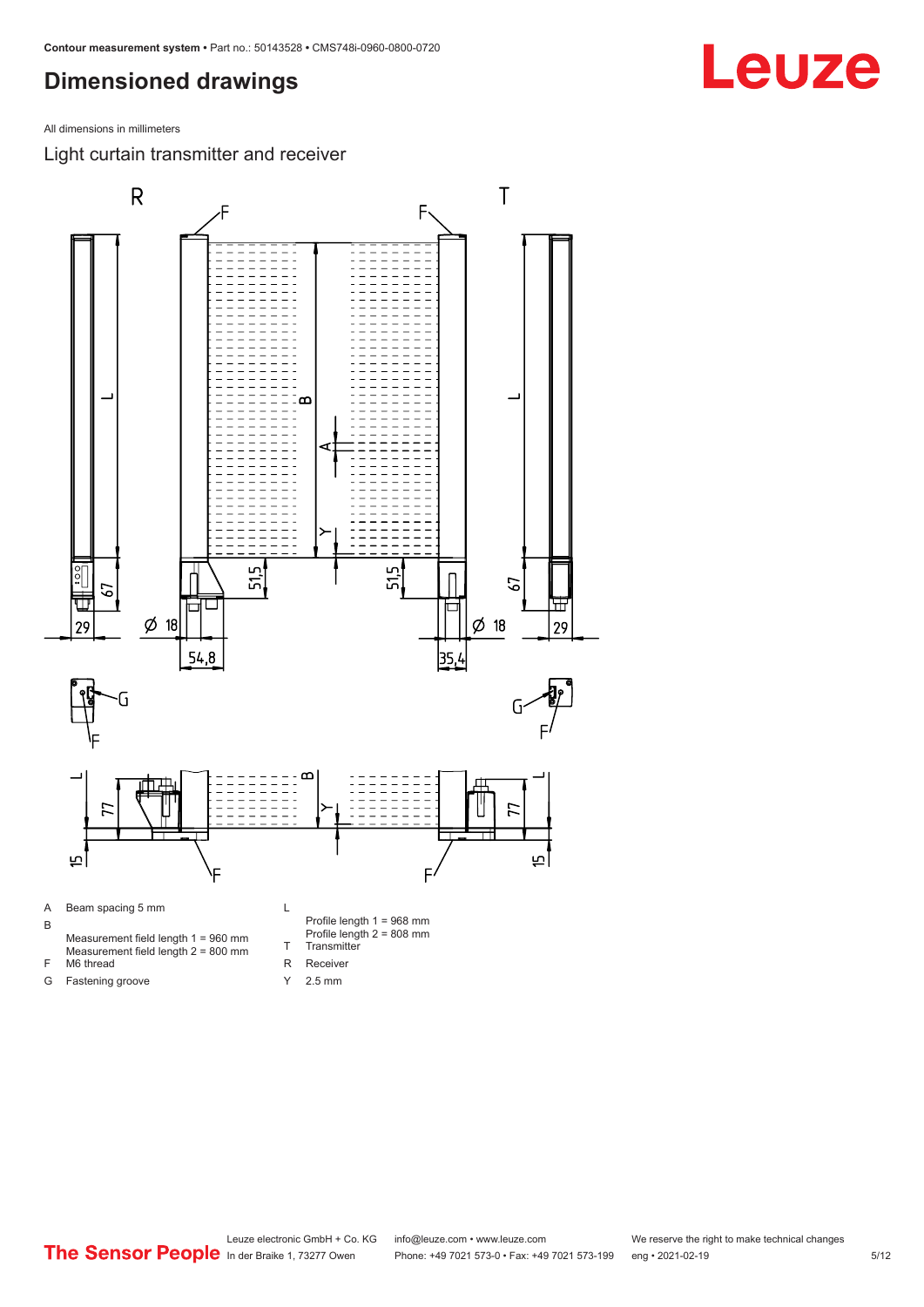## <span id="page-4-0"></span>**Dimensioned drawings**

All dimensions in millimeters

Light curtain transmitter and receiver

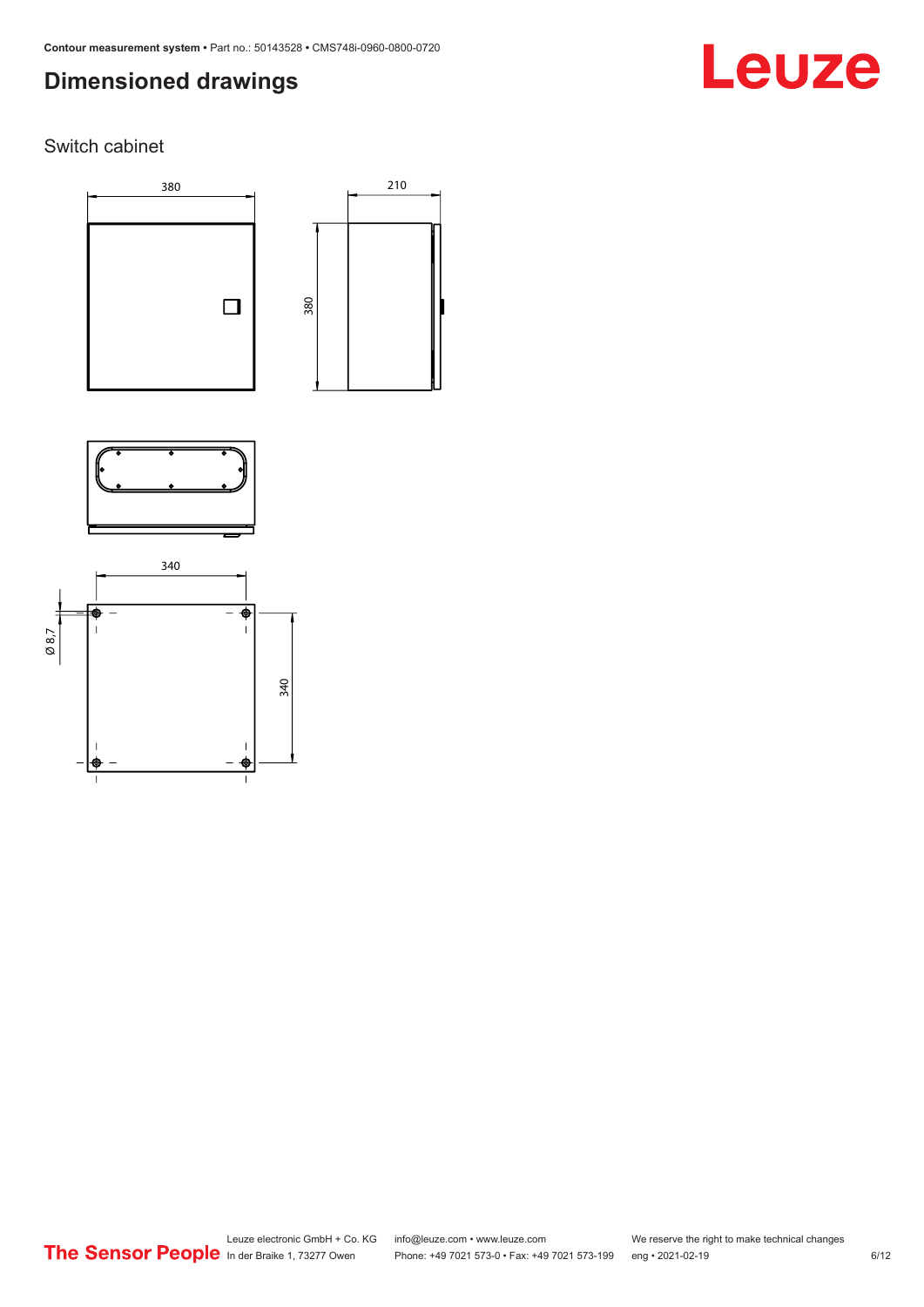# **Dimensioned drawings**

# Leuze

### Switch cabinet







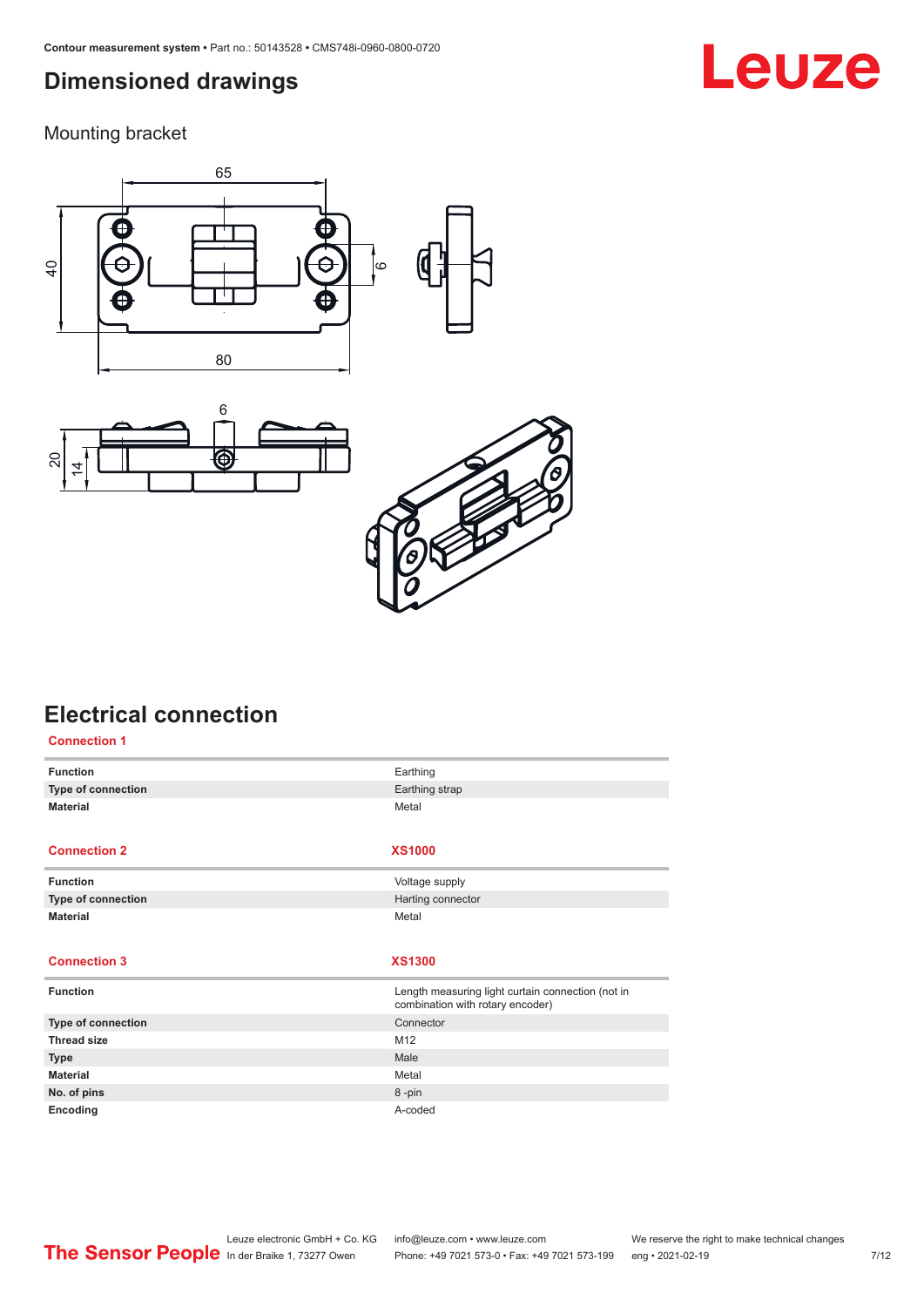# <span id="page-6-0"></span>**Dimensioned drawings**

Mounting bracket







# **Electrical connection**

| <b>Connection 1</b> |                                                                                       |
|---------------------|---------------------------------------------------------------------------------------|
| <b>Function</b>     | Earthing                                                                              |
| Type of connection  | Earthing strap                                                                        |
| <b>Material</b>     | Metal                                                                                 |
|                     |                                                                                       |
| <b>Connection 2</b> | <b>XS1000</b>                                                                         |
| <b>Function</b>     | Voltage supply                                                                        |
| Type of connection  | Harting connector                                                                     |
| <b>Material</b>     | Metal                                                                                 |
|                     |                                                                                       |
|                     |                                                                                       |
| <b>Connection 3</b> | <b>XS1300</b>                                                                         |
| <b>Function</b>     | Length measuring light curtain connection (not in<br>combination with rotary encoder) |
| Type of connection  | Connector                                                                             |
| <b>Thread size</b>  | M12                                                                                   |
| <b>Type</b>         | Male                                                                                  |
| <b>Material</b>     | Metal                                                                                 |
| No. of pins         | 8-pin                                                                                 |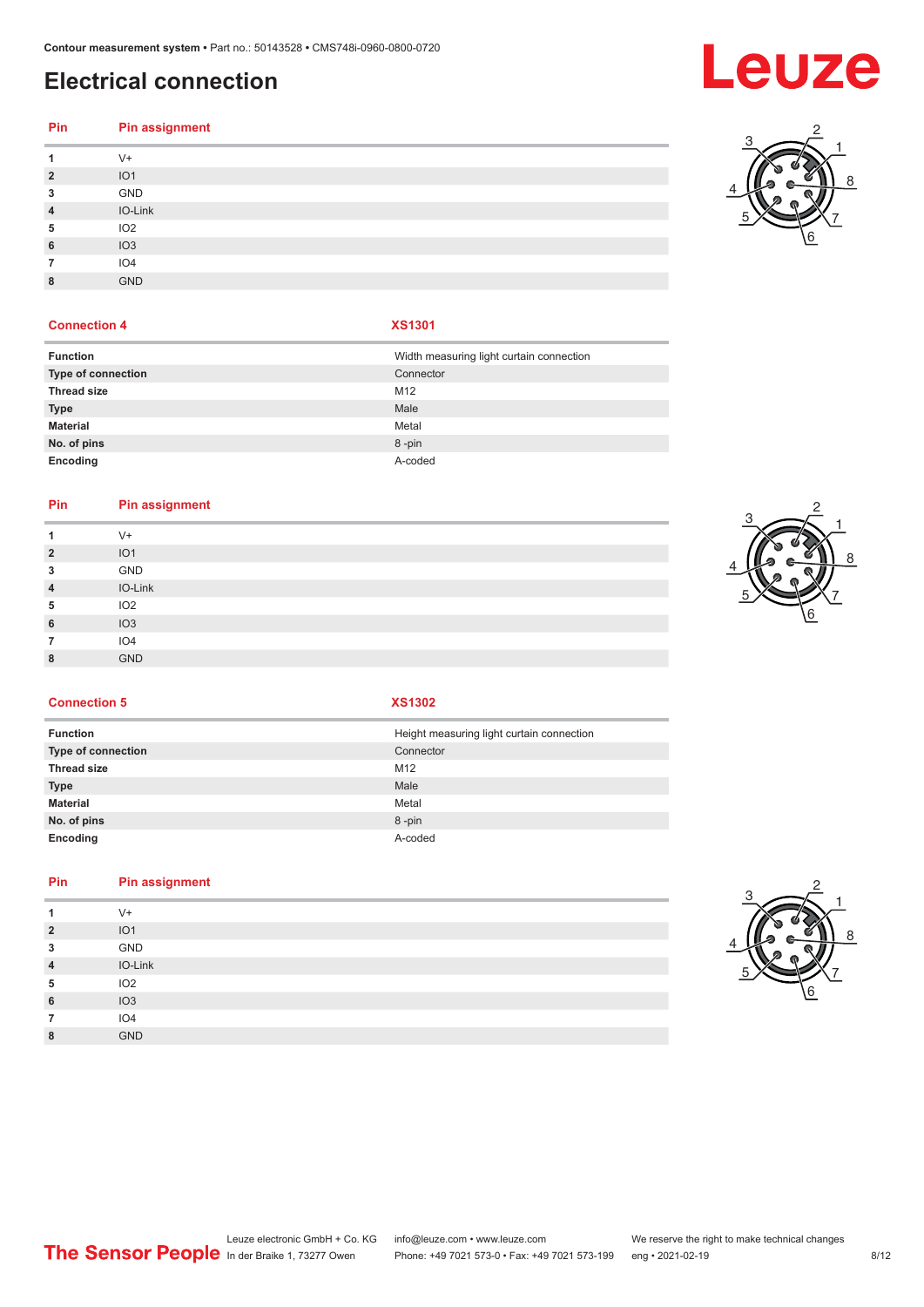# **Electrical connection**

### **Pin Pin assignment** V+ IO1 GND

|                | ___             |
|----------------|-----------------|
| $\overline{A}$ | IO-Link         |
| 5              | IO <sub>2</sub> |
| 6              | IO <sub>3</sub> |
|                | IO4             |
| 8              | <b>GND</b>      |
|                |                 |

### **Connection 4 XS1301**

| <b>Function</b>    | Width measuring light curtain connection |
|--------------------|------------------------------------------|
| Type of connection | Connector                                |
| <b>Thread size</b> | M12                                      |
| <b>Type</b>        | Male                                     |
| <b>Material</b>    | Metal                                    |
| No. of pins        | 8-pin                                    |
| Encoding           | A-coded                                  |

### **Pin Pin assignment**

| -1             | $V +$           |
|----------------|-----------------|
| $\overline{2}$ | IO <sub>1</sub> |
| 3              | GND             |
| $\overline{4}$ | IO-Link         |
| 5              | IO <sub>2</sub> |
| 6              | IO3             |
| 7              | IO <sub>4</sub> |
| 8              | <b>GND</b>      |



**Connection 5 XS1302**

| <b>Function</b>    | Height measuring light curtain connection |
|--------------------|-------------------------------------------|
| Type of connection | Connector                                 |
| <b>Thread size</b> | M12                                       |
| <b>Type</b>        | Male                                      |
| <b>Material</b>    | Metal                                     |
| No. of pins        | 8-pin                                     |
| Encoding           | A-coded                                   |

### **Pin Pin assignment**

|                | $V +$           |  |  |
|----------------|-----------------|--|--|
| $\overline{2}$ | IO <sub>1</sub> |  |  |
| 3              | GND             |  |  |
| $\overline{4}$ | IO-Link         |  |  |
| 5              | IO <sub>2</sub> |  |  |
| 6              | IO3             |  |  |
|                | IO <sub>4</sub> |  |  |
| 8              | <b>GND</b>      |  |  |
|                |                 |  |  |



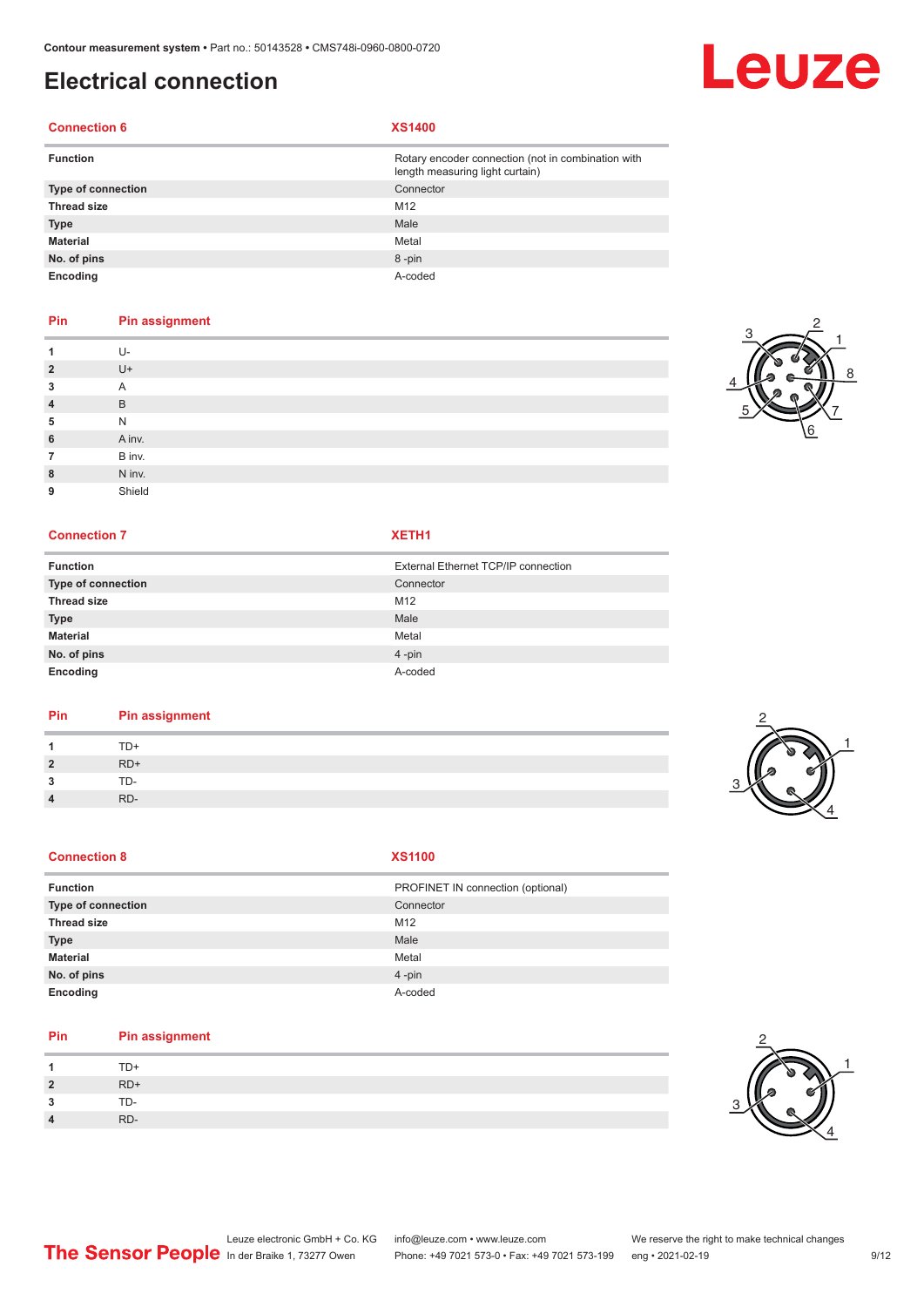# **Electrical connection**

### **Connection 6 XS1400**

| <b>Function</b>           | Rotary encoder connection (not in combination with<br>length measuring light curtain) |
|---------------------------|---------------------------------------------------------------------------------------|
| <b>Type of connection</b> | Connector                                                                             |
| <b>Thread size</b>        | M <sub>12</sub>                                                                       |
| <b>Type</b>               | Male                                                                                  |
| <b>Material</b>           | Metal                                                                                 |
| No. of pins               | 8-pin                                                                                 |
| Encoding                  | A-coded                                                                               |

### **Pin Pin assignment**

|                | U-     |
|----------------|--------|
| $\overline{2}$ | U+     |
| 3              | A      |
| $\overline{4}$ | B      |
| 5              | N      |
| 6              | A inv. |
| 7              | B inv. |
| 8              | N inv. |
| 9              | Shield |

### **Connection 7 XETH1**

| <b>Function</b>           | External Ethernet TCP/IP connection |
|---------------------------|-------------------------------------|
| <b>Type of connection</b> | Connector                           |
| <b>Thread size</b>        | M12                                 |
| <b>Type</b>               | Male                                |
| <b>Material</b>           | Metal                               |
| No. of pins               | $4$ -pin                            |
| Encoding                  | A-coded                             |

### **Pin Pin assignment**

|                 | D+  |  |
|-----------------|-----|--|
| ຳ<br>$\epsilon$ | RD+ |  |
| -<br>- 1        | ת-  |  |
| 4               | RD. |  |

### **Connection 8**

| M. |  |
|----|--|

| Function           | PROFINET IN connection (optional) |
|--------------------|-----------------------------------|
| Type of connection | Connector                         |
| <b>Thread size</b> | M12                               |
| <b>Type</b>        | Male                              |
| Material           | Metal                             |
| No. of pins        | $4 - pin$                         |
| Encoding           | A-coded                           |

### **Pin Pin assignment**

|                | TD+ |
|----------------|-----|
| $\overline{2}$ | RD+ |
| ີ              | TD- |
| $\Lambda$      | RD- |





Leuze

2



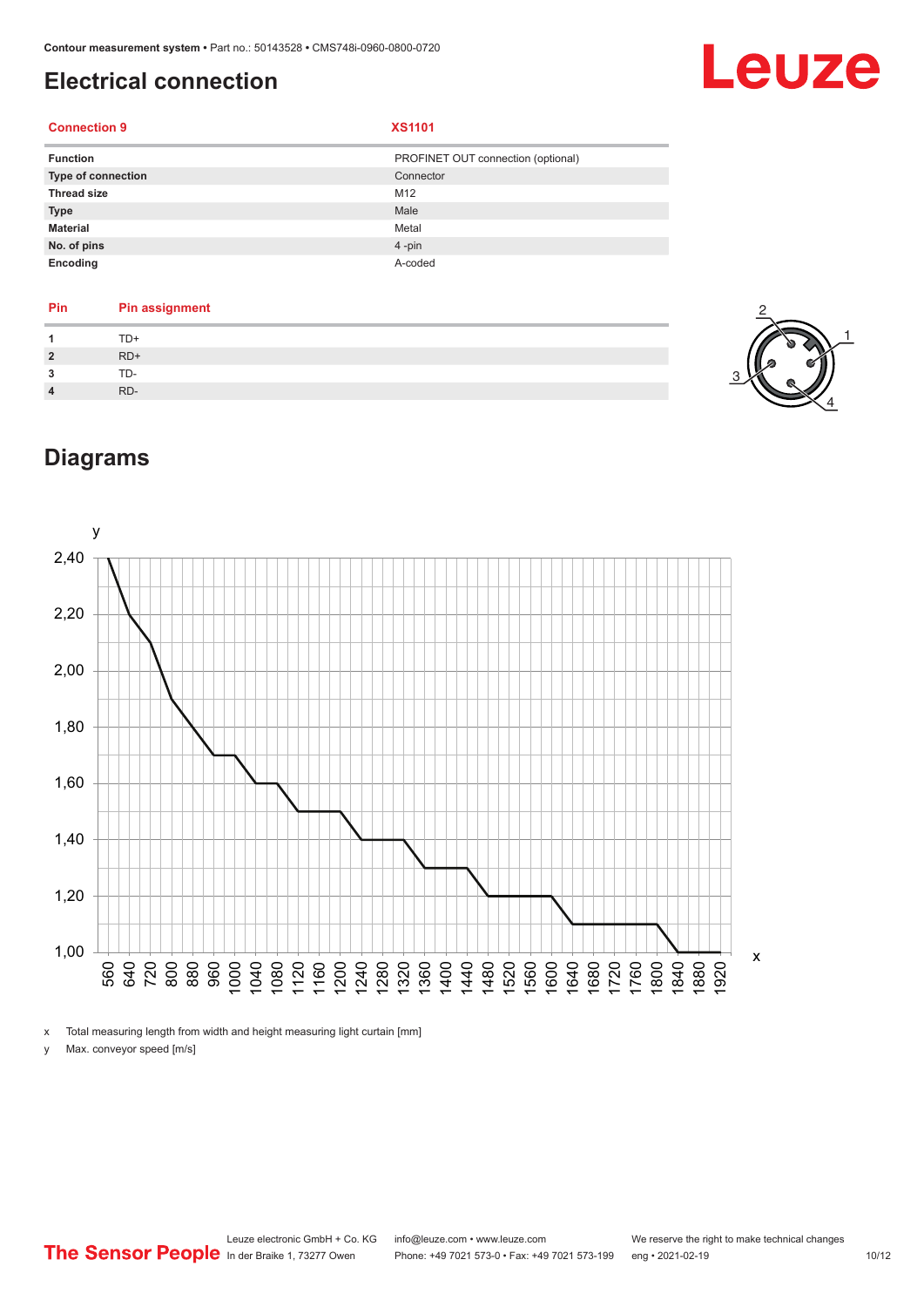# <span id="page-9-0"></span>**Electrical connection**

# Leuze

### **Connection 9 XS1101**

| <b>Function</b>    | PROFINET OUT connection (optional) |
|--------------------|------------------------------------|
| Type of connection | Connector                          |
| <b>Thread size</b> | M12                                |
| <b>Type</b>        | Male                               |
| <b>Material</b>    | Metal                              |
| No. of pins        | 4-pin                              |
| Encoding           | A-coded                            |

| Pin            | <b>Pin assignment</b> |
|----------------|-----------------------|
|                | TD+                   |
| $\overline{2}$ | $RD+$                 |
| 3              | TD-                   |
|                | RD-                   |



# **Diagrams**



x Total measuring length from width and height measuring light curtain [mm]

y Max. conveyor speed [m/s]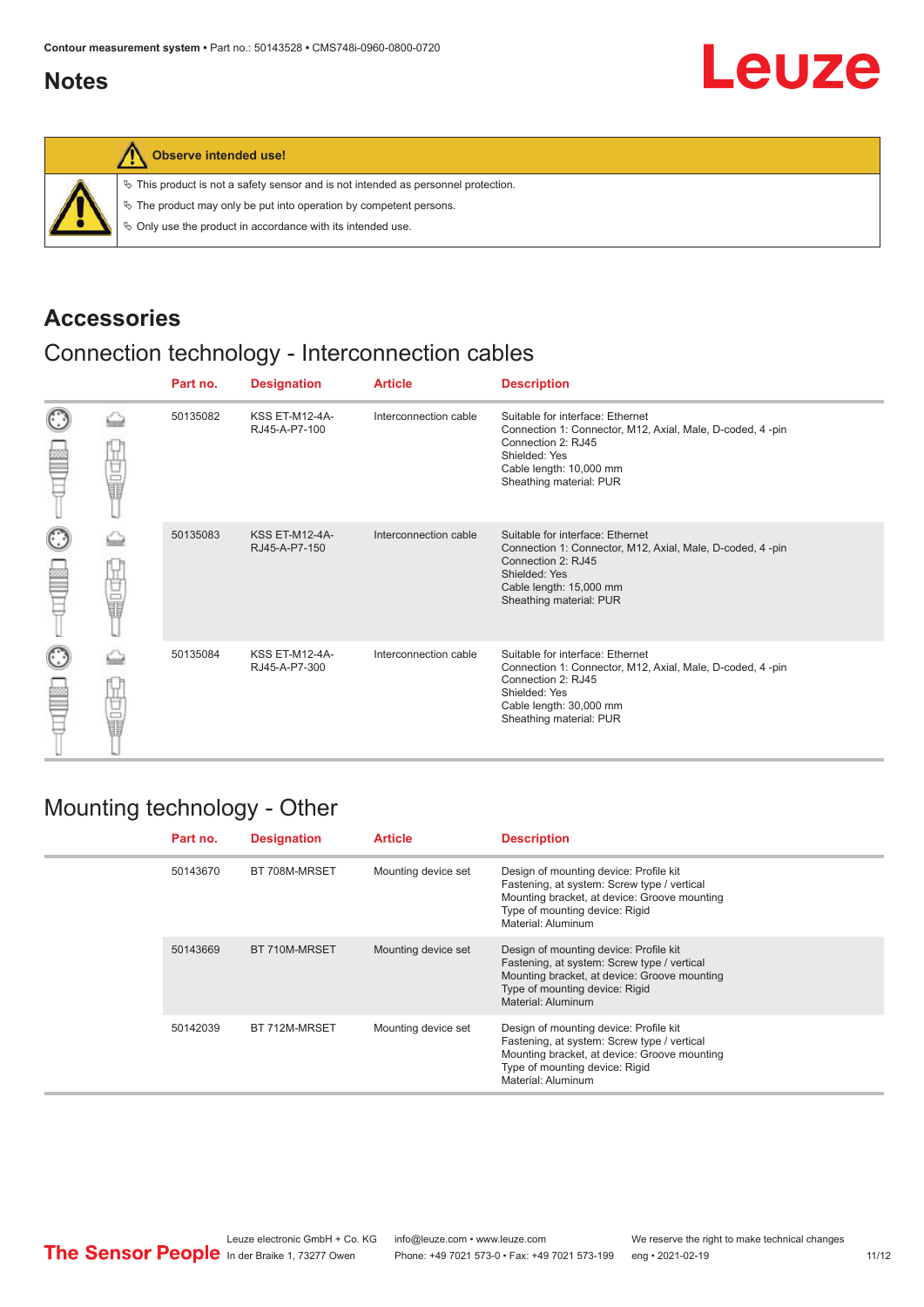# <span id="page-10-0"></span>**Notes**



### **Observe intended use!**

|  |  |  |  |  |  |  |  |  | $\%$ This product is not a safety sensor and is not intended as personnel protection. |  |
|--|--|--|--|--|--|--|--|--|---------------------------------------------------------------------------------------|--|
|--|--|--|--|--|--|--|--|--|---------------------------------------------------------------------------------------|--|

 $\%$  The product may only be put into operation by competent persons.

 $\%$  Only use the product in accordance with its intended use.

## **Accessories**

# Connection technology - Interconnection cables

|                      |    | Part no. | <b>Designation</b>                     | <b>Article</b>        | <b>Description</b>                                                                                                                                                                         |
|----------------------|----|----------|----------------------------------------|-----------------------|--------------------------------------------------------------------------------------------------------------------------------------------------------------------------------------------|
| $_{\mathbb{C}}$<br>œ | 甘量 | 50135082 | <b>KSS ET-M12-4A-</b><br>RJ45-A-P7-100 | Interconnection cable | Suitable for interface: Ethernet<br>Connection 1: Connector, M12, Axial, Male, D-coded, 4-pin<br>Connection 2: RJ45<br>Shielded: Yes<br>Cable length: 10,000 mm<br>Sheathing material: PUR |
| $_{\bigodot}$<br>≝   | 甘量 | 50135083 | <b>KSS ET-M12-4A-</b><br>RJ45-A-P7-150 | Interconnection cable | Suitable for interface: Ethernet<br>Connection 1: Connector, M12, Axial, Male, D-coded, 4-pin<br>Connection 2: RJ45<br>Shielded: Yes<br>Cable length: 15,000 mm<br>Sheathing material: PUR |
| $_{\mathbb{C}}$<br>₩ | 甘量 | 50135084 | <b>KSS ET-M12-4A-</b><br>RJ45-A-P7-300 | Interconnection cable | Suitable for interface: Ethernet<br>Connection 1: Connector, M12, Axial, Male, D-coded, 4-pin<br>Connection 2: RJ45<br>Shielded: Yes<br>Cable length: 30,000 mm<br>Sheathing material: PUR |

## Mounting technology - Other

|  | Part no. | <b>Designation</b> | <b>Article</b>      | <b>Description</b>                                                                                                                                                                            |
|--|----------|--------------------|---------------------|-----------------------------------------------------------------------------------------------------------------------------------------------------------------------------------------------|
|  | 50143670 | BT 708M-MRSET      | Mounting device set | Design of mounting device: Profile kit<br>Fastening, at system: Screw type / vertical<br>Mounting bracket, at device: Groove mounting<br>Type of mounting device: Rigid<br>Material: Aluminum |
|  | 50143669 | BT 710M-MRSET      | Mounting device set | Design of mounting device: Profile kit<br>Fastening, at system: Screw type / vertical<br>Mounting bracket, at device: Groove mounting<br>Type of mounting device: Rigid<br>Material: Aluminum |
|  | 50142039 | BT 712M-MRSET      | Mounting device set | Design of mounting device: Profile kit<br>Fastening, at system: Screw type / vertical<br>Mounting bracket, at device: Groove mounting<br>Type of mounting device: Rigid<br>Material: Aluminum |